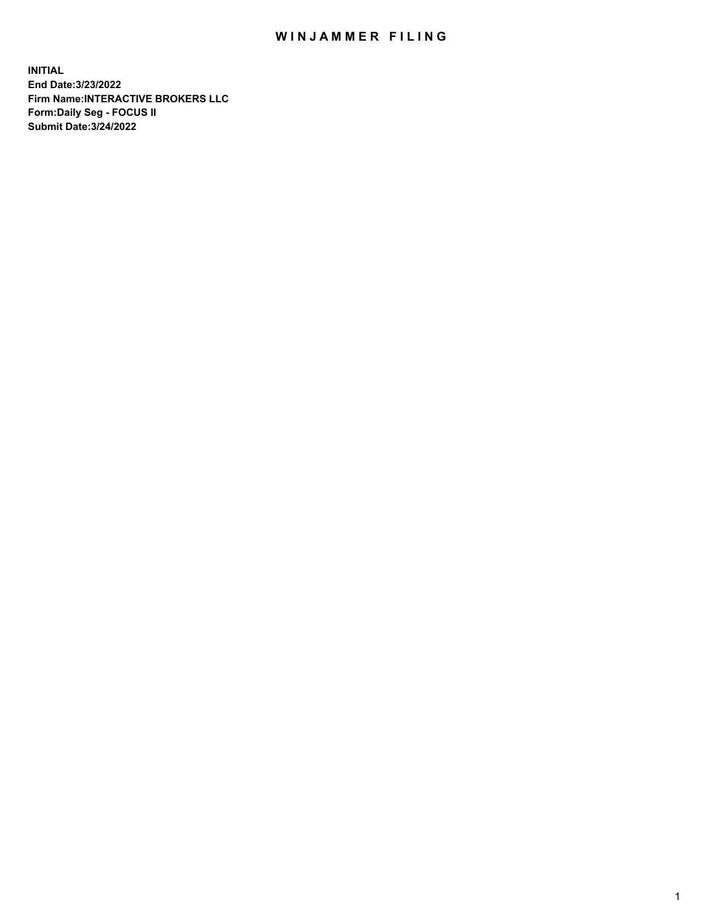## WIN JAMMER FILING

**INITIAL End Date:3/23/2022 Firm Name:INTERACTIVE BROKERS LLC Form:Daily Seg - FOCUS II Submit Date:3/24/2022**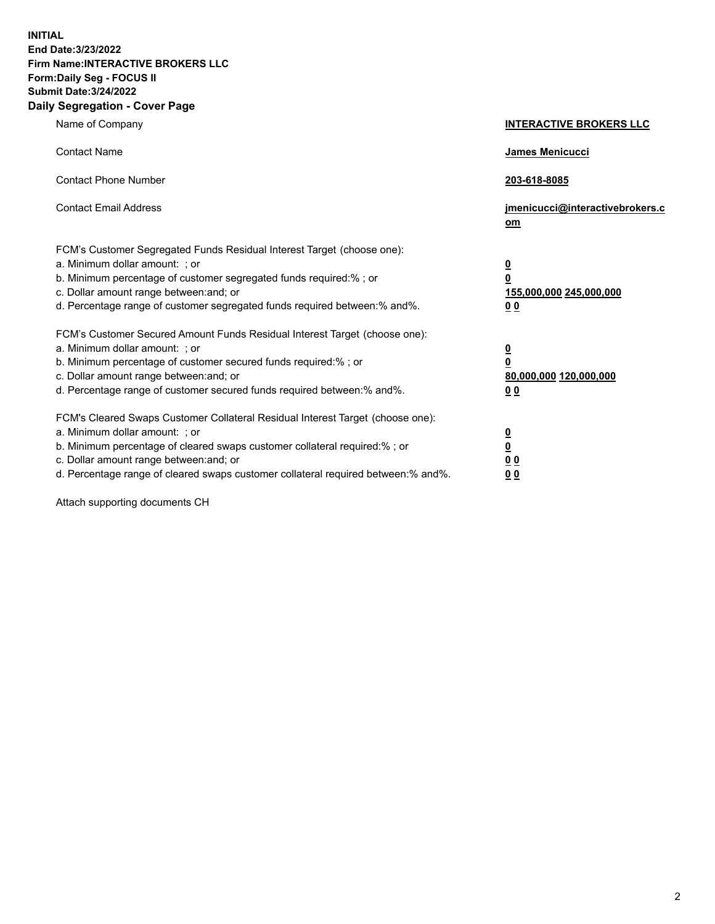**INITIAL End Date:3/23/2022 Firm Name:INTERACTIVE BROKERS LLC Form:Daily Seg - FOCUS II Submit Date:3/24/2022 Daily Segregation - Cover Page**

| Name of Company                                                                                                                                                                                                                                                                                                               | <b>INTERACTIVE BROKERS LLC</b>                                                                  |  |
|-------------------------------------------------------------------------------------------------------------------------------------------------------------------------------------------------------------------------------------------------------------------------------------------------------------------------------|-------------------------------------------------------------------------------------------------|--|
| <b>Contact Name</b>                                                                                                                                                                                                                                                                                                           | James Menicucci                                                                                 |  |
| <b>Contact Phone Number</b>                                                                                                                                                                                                                                                                                                   | 203-618-8085                                                                                    |  |
| <b>Contact Email Address</b>                                                                                                                                                                                                                                                                                                  | jmenicucci@interactivebrokers.c<br><u>om</u>                                                    |  |
| FCM's Customer Segregated Funds Residual Interest Target (choose one):<br>a. Minimum dollar amount: ; or<br>b. Minimum percentage of customer segregated funds required:% ; or<br>c. Dollar amount range between: and; or<br>d. Percentage range of customer segregated funds required between:% and%.                        | $\overline{\mathbf{0}}$<br>$\overline{\mathbf{0}}$<br>155,000,000 245,000,000<br>0 <sub>0</sub> |  |
| FCM's Customer Secured Amount Funds Residual Interest Target (choose one):<br>a. Minimum dollar amount: ; or<br>b. Minimum percentage of customer secured funds required:%; or<br>c. Dollar amount range between: and; or<br>d. Percentage range of customer secured funds required between:% and%.                           | $\overline{\mathbf{0}}$<br>$\overline{\mathbf{0}}$<br>80,000,000 120,000,000<br>0 <sub>0</sub>  |  |
| FCM's Cleared Swaps Customer Collateral Residual Interest Target (choose one):<br>a. Minimum dollar amount: ; or<br>b. Minimum percentage of cleared swaps customer collateral required:%; or<br>c. Dollar amount range between: and; or<br>d. Percentage range of cleared swaps customer collateral required between:% and%. | $\overline{\mathbf{0}}$<br>$\overline{\mathbf{0}}$<br>0 <sub>0</sub><br>0 <sub>0</sub>          |  |

Attach supporting documents CH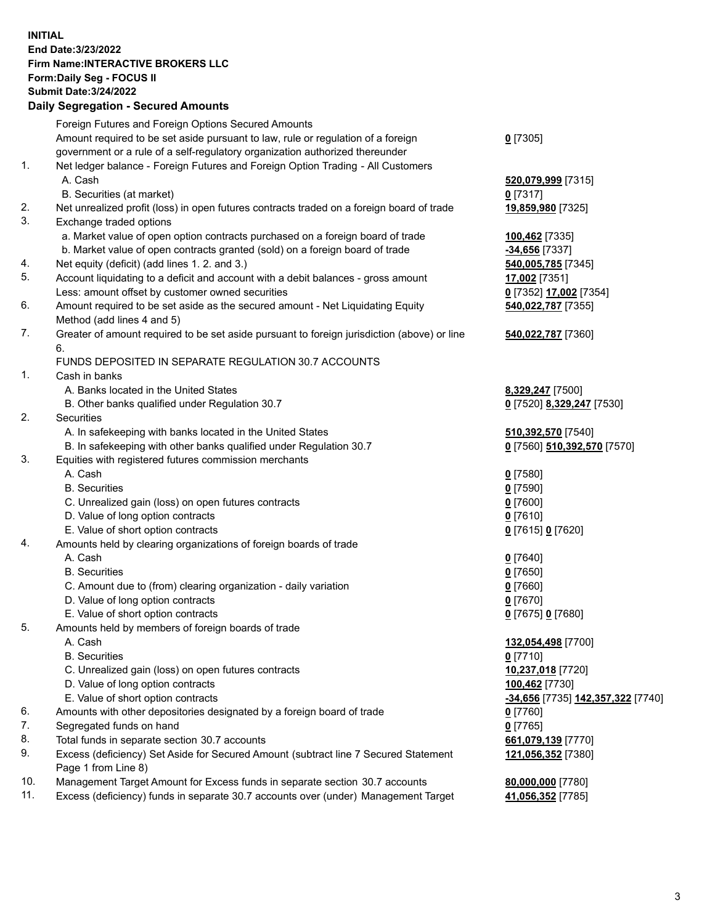**INITIAL End Date:3/23/2022 Firm Name:INTERACTIVE BROKERS LLC Form:Daily Seg - FOCUS II Submit Date:3/24/2022 Daily Segregation - Secured Amounts**

## Foreign Futures and Foreign Options Secured Amounts Amount required to be set aside pursuant to law, rule or regulation of a foreign government or a rule of a self-regulatory organization authorized thereunder **0** [7305] 1. Net ledger balance - Foreign Futures and Foreign Option Trading - All Customers A. Cash **520,079,999** [7315] B. Securities (at market) **0** [7317] 2. Net unrealized profit (loss) in open futures contracts traded on a foreign board of trade **19,859,980** [7325] 3. Exchange traded options a. Market value of open option contracts purchased on a foreign board of trade **100,462** [7335] b. Market value of open contracts granted (sold) on a foreign board of trade **-34,656** [7337] 4. Net equity (deficit) (add lines 1. 2. and 3.) **540,005,785** [7345] 5. Account liquidating to a deficit and account with a debit balances - gross amount **17,002** [7351] Less: amount offset by customer owned securities **0** [7352] **17,002** [7354] 6. Amount required to be set aside as the secured amount - Net Liquidating Equity Method (add lines 4 and 5) **540,022,787** [7355] 7. Greater of amount required to be set aside pursuant to foreign jurisdiction (above) or line 6. **540,022,787** [7360] FUNDS DEPOSITED IN SEPARATE REGULATION 30.7 ACCOUNTS 1. Cash in banks A. Banks located in the United States **8,329,247** [7500] B. Other banks qualified under Regulation 30.7 **0** [7520] **8,329,247** [7530] 2. Securities A. In safekeeping with banks located in the United States **510,392,570** [7540] B. In safekeeping with other banks qualified under Regulation 30.7 **0** [7560] **510,392,570** [7570] 3. Equities with registered futures commission merchants A. Cash **0** [7580] B. Securities **0** [7590] C. Unrealized gain (loss) on open futures contracts **0** [7600] D. Value of long option contracts **0** [7610] E. Value of short option contracts **0** [7615] **0** [7620] 4. Amounts held by clearing organizations of foreign boards of trade A. Cash **0** [7640] B. Securities **0** [7650] C. Amount due to (from) clearing organization - daily variation **0** [7660] D. Value of long option contracts **0** [7670] E. Value of short option contracts **0** [7675] **0** [7680] 5. Amounts held by members of foreign boards of trade A. Cash **132,054,498** [7700] B. Securities **0** [7710] C. Unrealized gain (loss) on open futures contracts **10,237,018** [7720] D. Value of long option contracts **100,462** [7730] E. Value of short option contracts **-34,656** [7735] **142,357,322** [7740] 6. Amounts with other depositories designated by a foreign board of trade **0** [7760] 7. Segregated funds on hand **0** [7765] 8. Total funds in separate section 30.7 accounts **661,079,139** [7770] 9. Excess (deficiency) Set Aside for Secured Amount (subtract line 7 Secured Statement Page 1 from Line 8) **121,056,352** [7380] 10. Management Target Amount for Excess funds in separate section 30.7 accounts **80,000,000** [7780] 11. Excess (deficiency) funds in separate 30.7 accounts over (under) Management Target **41,056,352** [7785]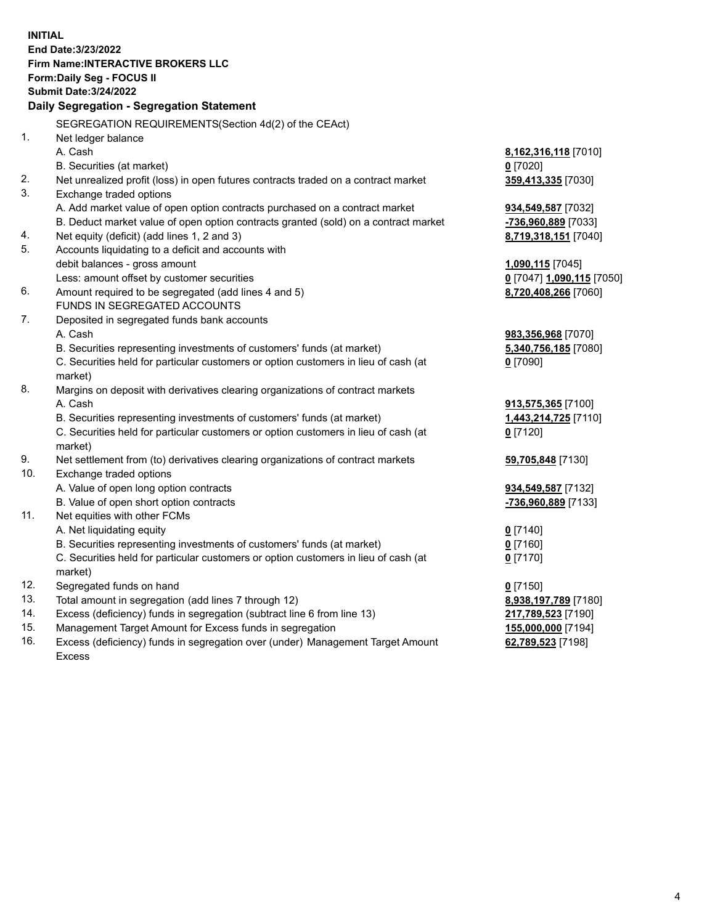**INITIAL End Date:3/23/2022 Firm Name:INTERACTIVE BROKERS LLC Form:Daily Seg - FOCUS II Submit Date:3/24/2022 Daily Segregation - Segregation Statement** SEGREGATION REQUIREMENTS(Section 4d(2) of the CEAct) 1. Net ledger balance A. Cash **8,162,316,118** [7010] B. Securities (at market) **0** [7020] 2. Net unrealized profit (loss) in open futures contracts traded on a contract market **359,413,335** [7030] 3. Exchange traded options A. Add market value of open option contracts purchased on a contract market **934,549,587** [7032] B. Deduct market value of open option contracts granted (sold) on a contract market **-736,960,889** [7033] 4. Net equity (deficit) (add lines 1, 2 and 3) **8,719,318,151** [7040] 5. Accounts liquidating to a deficit and accounts with debit balances - gross amount **1,090,115** [7045] Less: amount offset by customer securities **0** [7047] **1,090,115** [7050] 6. Amount required to be segregated (add lines 4 and 5) **8,720,408,266** [7060] FUNDS IN SEGREGATED ACCOUNTS 7. Deposited in segregated funds bank accounts A. Cash **983,356,968** [7070] B. Securities representing investments of customers' funds (at market) **5,340,756,185** [7080] C. Securities held for particular customers or option customers in lieu of cash (at market) **0** [7090] 8. Margins on deposit with derivatives clearing organizations of contract markets A. Cash **913,575,365** [7100] B. Securities representing investments of customers' funds (at market) **1,443,214,725** [7110] C. Securities held for particular customers or option customers in lieu of cash (at market) **0** [7120] 9. Net settlement from (to) derivatives clearing organizations of contract markets **59,705,848** [7130] 10. Exchange traded options A. Value of open long option contracts **934,549,587** [7132] B. Value of open short option contracts **-736,960,889** [7133] 11. Net equities with other FCMs A. Net liquidating equity **0** [7140] B. Securities representing investments of customers' funds (at market) **0** [7160] C. Securities held for particular customers or option customers in lieu of cash (at market) **0** [7170] 12. Segregated funds on hand **0** [7150] 13. Total amount in segregation (add lines 7 through 12) **8,938,197,789** [7180] 14. Excess (deficiency) funds in segregation (subtract line 6 from line 13) **217,789,523** [7190] 15. Management Target Amount for Excess funds in segregation **155,000,000** [7194]

16. Excess (deficiency) funds in segregation over (under) Management Target Amount Excess

**62,789,523** [7198]